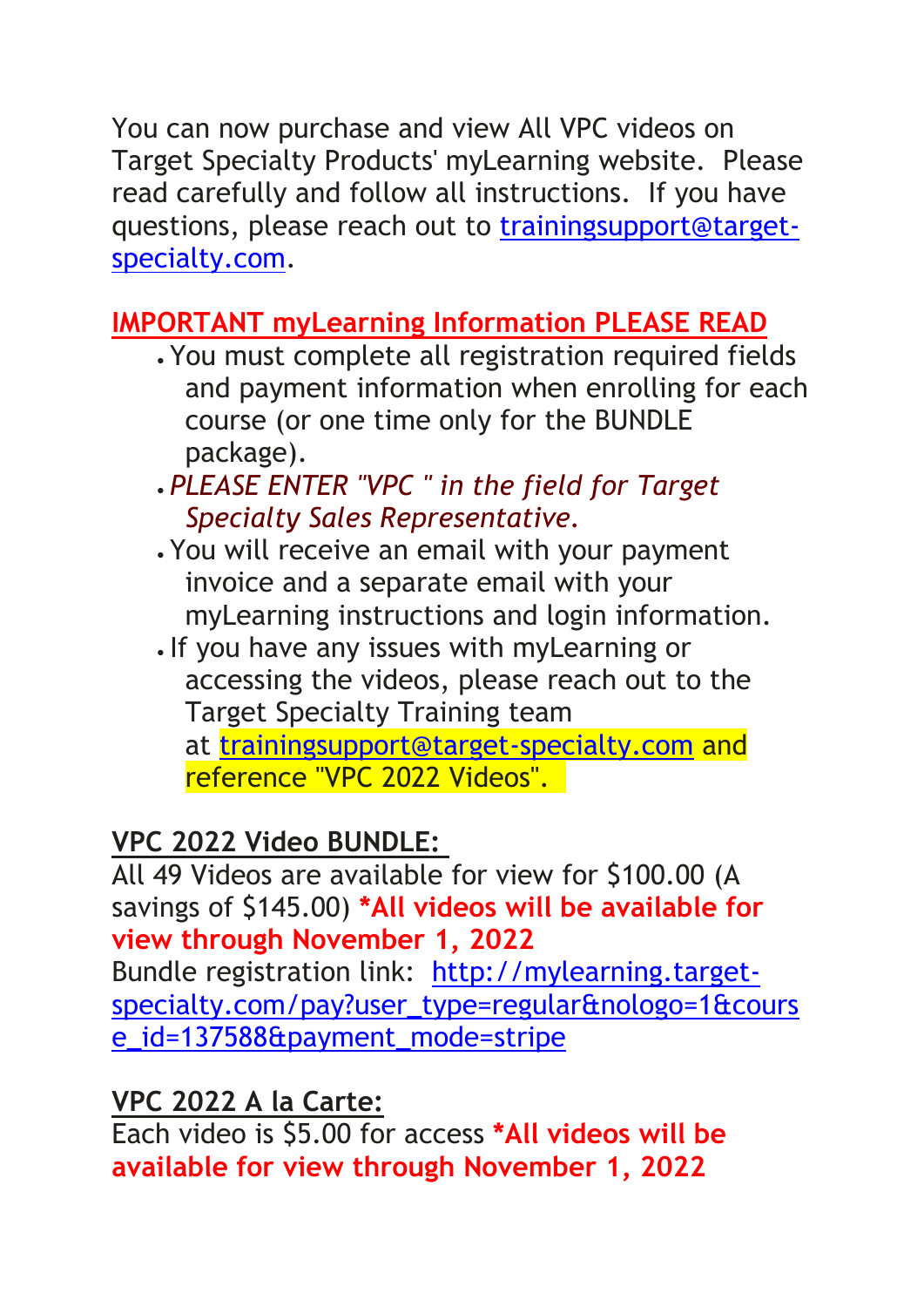You can now purchase and view All VPC videos on Target Specialty Products' myLearning website. Please read carefully and follow all instructions. If you have questions, please reach out to [trainingsupport@target](mailto:trainingsupport@target-specialty.com)[specialty.com.](mailto:trainingsupport@target-specialty.com)

## **IMPORTANT myLearning Information PLEASE READ**

- You must complete all registration required fields and payment information when enrolling for each course (or one time only for the BUNDLE package).
- *PLEASE ENTER "VPC '' in the field for Target Specialty Sales Representative.*
- You will receive an email with your payment invoice and a separate email with your myLearning instructions and login information.
- If you have any issues with myLearning or accessing the videos, please reach out to the Target Specialty Training team at [trainingsupport@target-specialty.com](mailto:trainingsupport@target-specialty.com) and reference "VPC 2022 Videos".

## **VPC 2022 Video BUNDLE:**

All 49 Videos are available for view for \$100.00 (A savings of \$145.00) **\*All videos will be available for view through November 1, 2022**

Bundle registration link: [http://mylearning.target](http://mylearning.target-specialty.com/pay?user_type=regular&nologo=1&course_id=137588&payment_mode=stripe)[specialty.com/pay?user\\_type=regular&nologo=1&cours](http://mylearning.target-specialty.com/pay?user_type=regular&nologo=1&course_id=137588&payment_mode=stripe) [e\\_id=137588&payment\\_mode=stripe](http://mylearning.target-specialty.com/pay?user_type=regular&nologo=1&course_id=137588&payment_mode=stripe)

## **VPC 2022 A la Carte:**

Each video is \$5.00 for access **\*All videos will be available for view through November 1, 2022**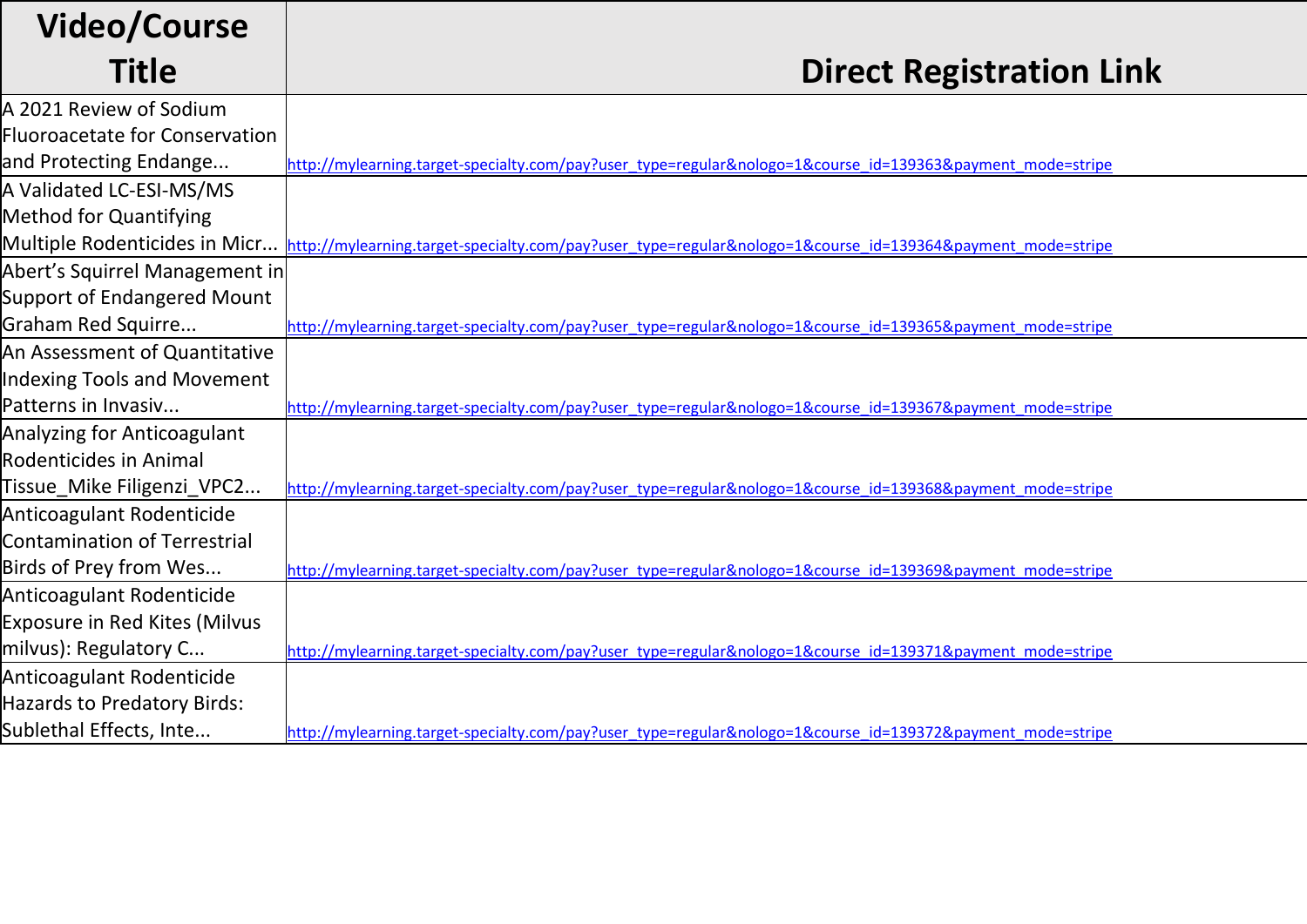| <b>Video/Course</b>                   |                                                                                                                                          |
|---------------------------------------|------------------------------------------------------------------------------------------------------------------------------------------|
| Title                                 | <b>Direct Registration Link</b>                                                                                                          |
| A 2021 Review of Sodium               |                                                                                                                                          |
| <b>Fluoroacetate for Conservation</b> |                                                                                                                                          |
| and Protecting Endange                | http://mylearning.target-specialty.com/pay?user_type=regular&nologo=1&course_id=139363&payment_mode=stripe                               |
| A Validated LC-ESI-MS/MS              |                                                                                                                                          |
| <b>Method for Quantifying</b>         |                                                                                                                                          |
|                                       | Multiple Rodenticides in Micr http://mylearning.target-specialty.com/pay?user_type=regular&nologo=1&course_id=139364&payment_mode=stripe |
| Abert's Squirrel Management in        |                                                                                                                                          |
| <b>Support of Endangered Mount</b>    |                                                                                                                                          |
| Graham Red Squirre                    | http://mylearning.target-specialty.com/pay?user_type=regular&nologo=1&course_id=139365&payment_mode=stripe                               |
| An Assessment of Quantitative         |                                                                                                                                          |
| Indexing Tools and Movement           |                                                                                                                                          |
| Patterns in Invasiv                   | http://mylearning.target-specialty.com/pay?user_type=regular&nologo=1&course_id=139367&payment_mode=stripe                               |
| Analyzing for Anticoagulant           |                                                                                                                                          |
| Rodenticides in Animal                |                                                                                                                                          |
| Tissue_Mike Filigenzi_VPC2            | http://mylearning.target-specialty.com/pay?user_type=regular&nologo=1&course_id=139368&payment_mode=stripe                               |
| Anticoagulant Rodenticide             |                                                                                                                                          |
| <b>Contamination of Terrestrial</b>   |                                                                                                                                          |
| Birds of Prey from Wes                | http://mylearning.target-specialty.com/pay?user_type=regular&nologo=1&course_id=139369&payment_mode=stripe                               |
| Anticoagulant Rodenticide             |                                                                                                                                          |
| <b>Exposure in Red Kites (Milvus</b>  |                                                                                                                                          |
| milvus): Regulatory C                 | http://mylearning.target-specialty.com/pay?user_type=regular&nologo=1&course_id=139371&payment_mode=stripe                               |
| Anticoagulant Rodenticide             |                                                                                                                                          |
| <b>Hazards to Predatory Birds:</b>    |                                                                                                                                          |
| Sublethal Effects, Inte               | http://mylearning.target-specialty.com/pay?user_type=regular&nologo=1&course_id=139372&payment_mode=stripe                               |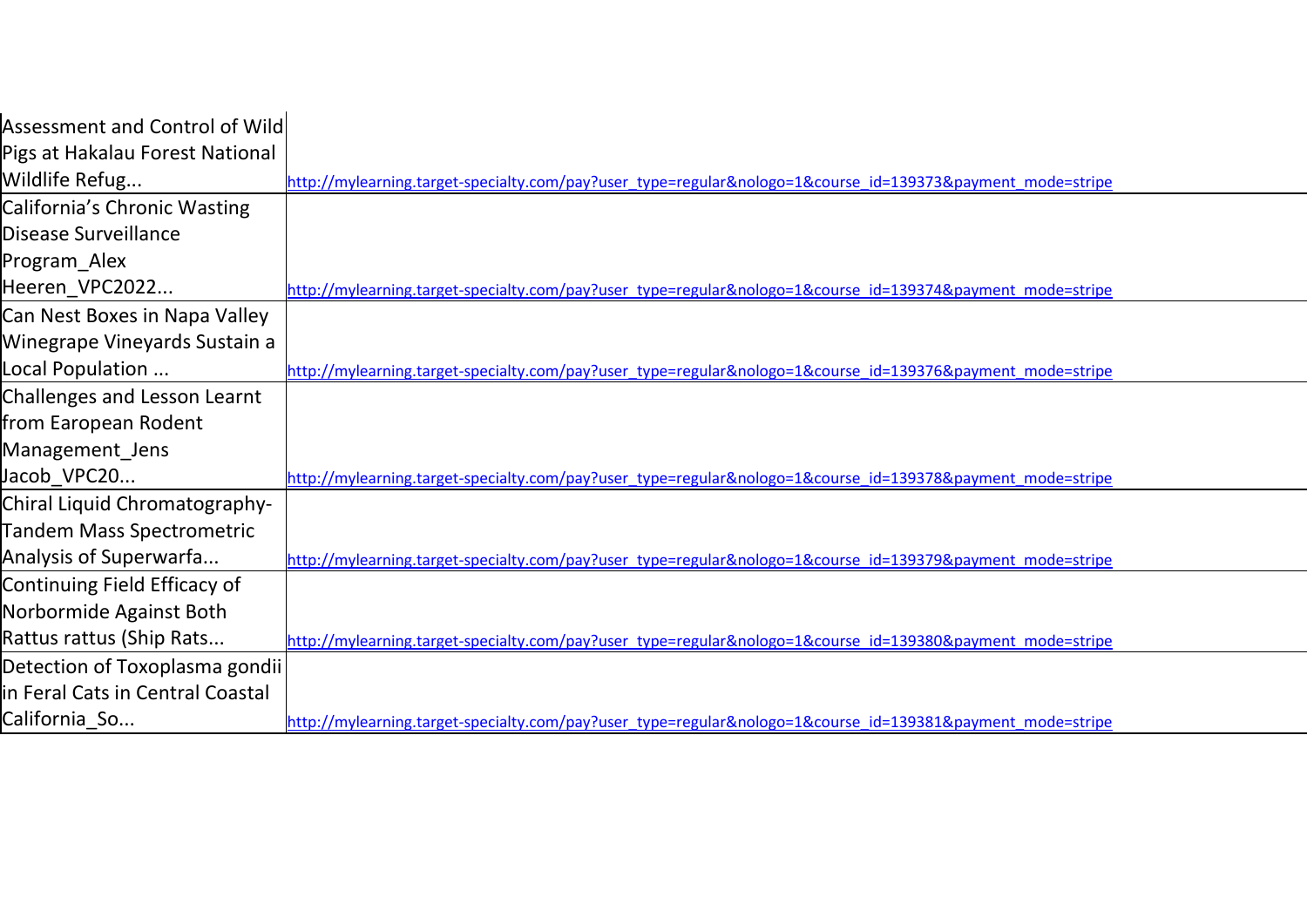| Assessment and Control of Wild                                                                             |
|------------------------------------------------------------------------------------------------------------|
|                                                                                                            |
| http://mylearning.target-specialty.com/pay?user_type=regular&nologo=1&course_id=139373&payment_mode=stripe |
|                                                                                                            |
|                                                                                                            |
|                                                                                                            |
| http://mylearning.target-specialty.com/pay?user_type=regular&nologo=1&course_id=139374&payment_mode=stripe |
|                                                                                                            |
|                                                                                                            |
| http://mylearning.target-specialty.com/pay?user_type=regular&nologo=1&course_id=139376&payment_mode=stripe |
|                                                                                                            |
|                                                                                                            |
|                                                                                                            |
| http://mylearning.target-specialty.com/pay?user_type=regular&nologo=1&course_id=139378&payment_mode=stripe |
|                                                                                                            |
|                                                                                                            |
| http://mylearning.target-specialty.com/pay?user_type=regular&nologo=1&course_id=139379&payment_mode=stripe |
|                                                                                                            |
|                                                                                                            |
| http://mylearning.target-specialty.com/pay?user_type=regular&nologo=1&course_id=139380&payment_mode=stripe |
|                                                                                                            |
|                                                                                                            |
| http://mylearning.target-specialty.com/pay?user_type=regular&nologo=1&course_id=139381&payment_mode=stripe |
|                                                                                                            |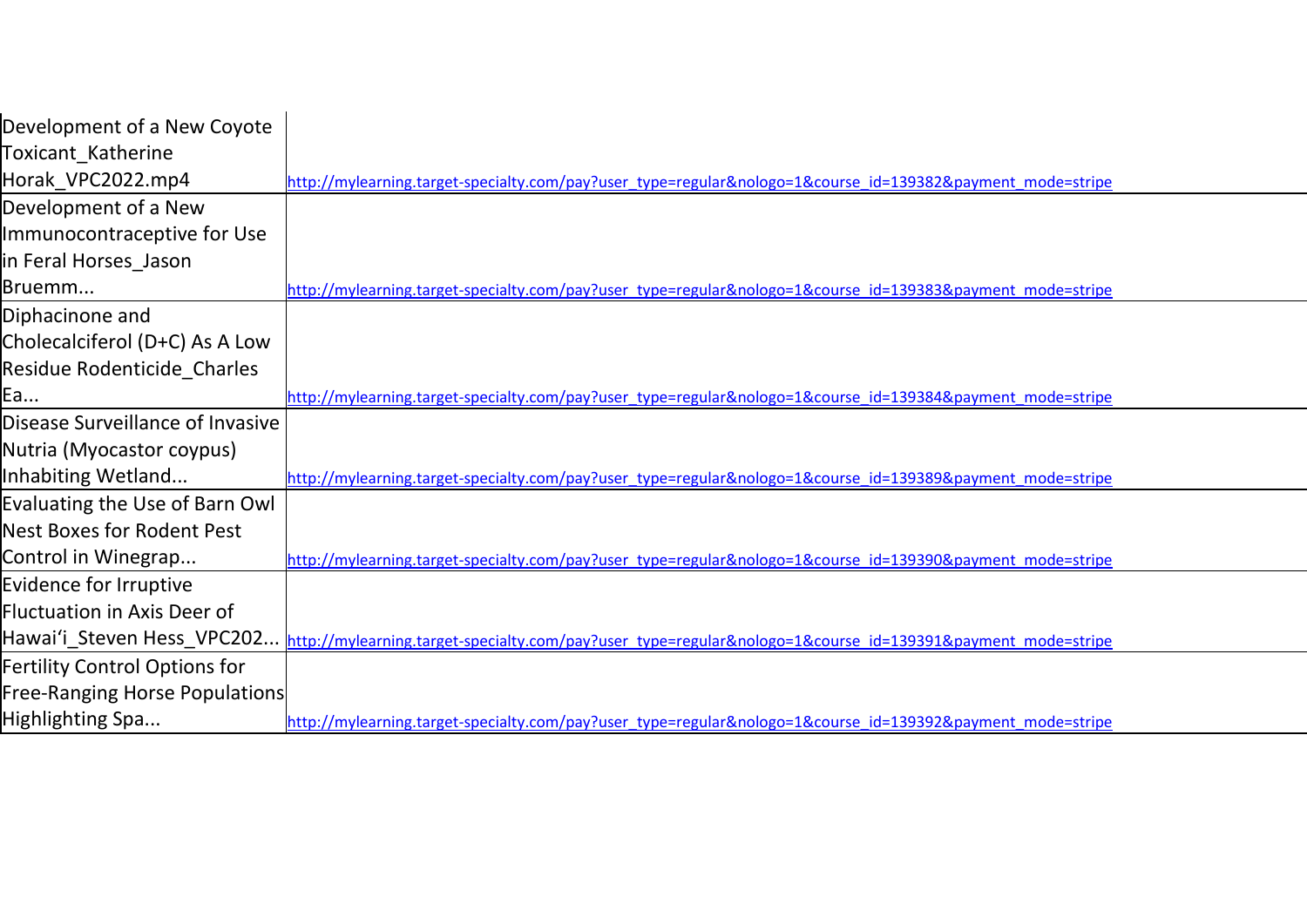| Development of a New Coyote           |                                                                                                            |
|---------------------------------------|------------------------------------------------------------------------------------------------------------|
| Toxicant_Katherine                    |                                                                                                            |
| Horak_VPC2022.mp4                     | http://mylearning.target-specialty.com/pay?user_type=regular&nologo=1&course_id=139382&payment_mode=stripe |
| Development of a New                  |                                                                                                            |
| Immunocontraceptive for Use           |                                                                                                            |
| in Feral Horses_Jason                 |                                                                                                            |
| Bruemm                                | http://mylearning.target-specialty.com/pay?user_type=regular&nologo=1&course_id=139383&payment_mode=stripe |
| Diphacinone and                       |                                                                                                            |
| Cholecalciferol (D+C) As A Low        |                                                                                                            |
| Residue Rodenticide_Charles           |                                                                                                            |
| Ea                                    | http://mylearning.target-specialty.com/pay?user_type=regular&nologo=1&course_id=139384&payment_mode=stripe |
| Disease Surveillance of Invasive      |                                                                                                            |
| Nutria (Myocastor coypus)             |                                                                                                            |
| Inhabiting Wetland                    | http://mylearning.target-specialty.com/pay?user_type=regular&nologo=1&course_id=139389&payment_mode=stripe |
| <b>Evaluating the Use of Barn Owl</b> |                                                                                                            |
| <b>Nest Boxes for Rodent Pest</b>     |                                                                                                            |
| Control in Winegrap                   | http://mylearning.target-specialty.com/pay?user_type=regular&nologo=1&course_id=139390&payment_mode=stripe |
| <b>Evidence for Irruptive</b>         |                                                                                                            |
| <b>Fluctuation in Axis Deer of</b>    |                                                                                                            |
| Hawai'i_Steven Hess_VPC202            | http://mylearning.target-specialty.com/pay?user_type=regular&nologo=1&course_id=139391&payment_mode=stripe |
| <b>Fertility Control Options for</b>  |                                                                                                            |
| <b>Free-Ranging Horse Populations</b> |                                                                                                            |
| Highlighting Spa                      | http://mylearning.target-specialty.com/pay?user_type=regular&nologo=1&course_id=139392&payment_mode=stripe |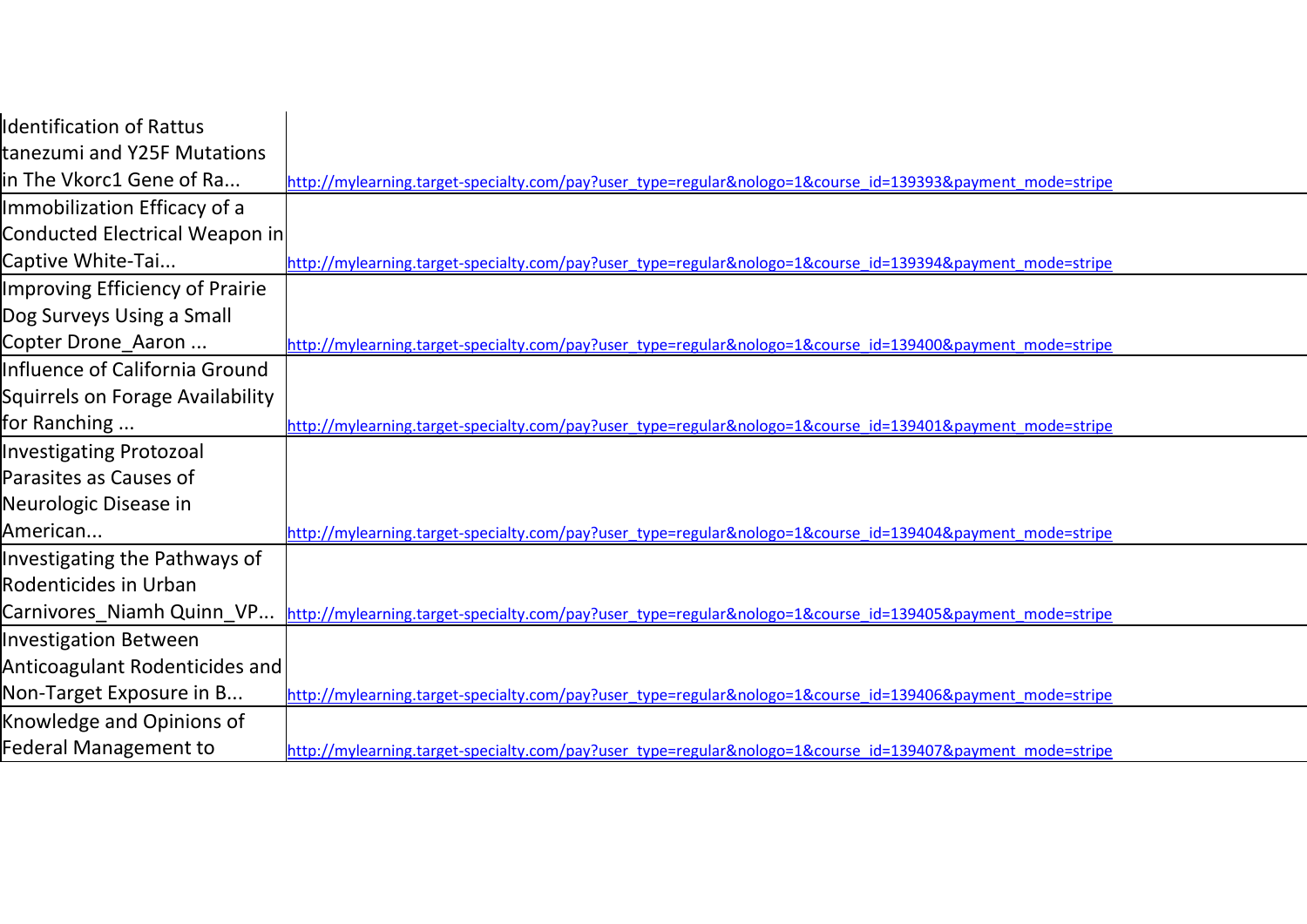| <b>Identification of Rattus</b>         |                                                                                                            |
|-----------------------------------------|------------------------------------------------------------------------------------------------------------|
| tanezumi and Y25F Mutations             |                                                                                                            |
| in The Vkorc1 Gene of Ra                | http://mylearning.target-specialty.com/pay?user_type=regular&nologo=1&course_id=139393&payment_mode=stripe |
| Immobilization Efficacy of a            |                                                                                                            |
| Conducted Electrical Weapon in          |                                                                                                            |
| Captive White-Tai                       | http://mylearning.target-specialty.com/pay?user_type=regular&nologo=1&course_id=139394&payment_mode=stripe |
| <b>Improving Efficiency of Prairie</b>  |                                                                                                            |
| Dog Surveys Using a Small               |                                                                                                            |
| Copter Drone_Aaron                      | http://mylearning.target-specialty.com/pay?user_type=regular&nologo=1&course_id=139400&payment_mode=stripe |
| Influence of California Ground          |                                                                                                            |
| <b>Squirrels on Forage Availability</b> |                                                                                                            |
| for Ranching                            | http://mylearning.target-specialty.com/pay?user_type=regular&nologo=1&course_id=139401&payment_mode=stripe |
| <b>Investigating Protozoal</b>          |                                                                                                            |
| Parasites as Causes of                  |                                                                                                            |
| Neurologic Disease in                   |                                                                                                            |
| American                                | http://mylearning.target-specialty.com/pay?user_type=regular&nologo=1&course_id=139404&payment_mode=stripe |
| Investigating the Pathways of           |                                                                                                            |
| Rodenticides in Urban                   |                                                                                                            |
| Carnivores_Niamh Quinn_VP               | http://mylearning.target-specialty.com/pay?user_type=regular&nologo=1&course_id=139405&payment_mode=stripe |
| <b>Investigation Between</b>            |                                                                                                            |
| Anticoagulant Rodenticides and          |                                                                                                            |
| Non-Target Exposure in B                | http://mylearning.target-specialty.com/pay?user_type=regular&nologo=1&course_id=139406&payment_mode=stripe |
| Knowledge and Opinions of               |                                                                                                            |
| <b>Federal Management to</b>            | http://mylearning.target-specialty.com/pay?user_type=regular&nologo=1&course_id=139407&payment_mode=stripe |
|                                         |                                                                                                            |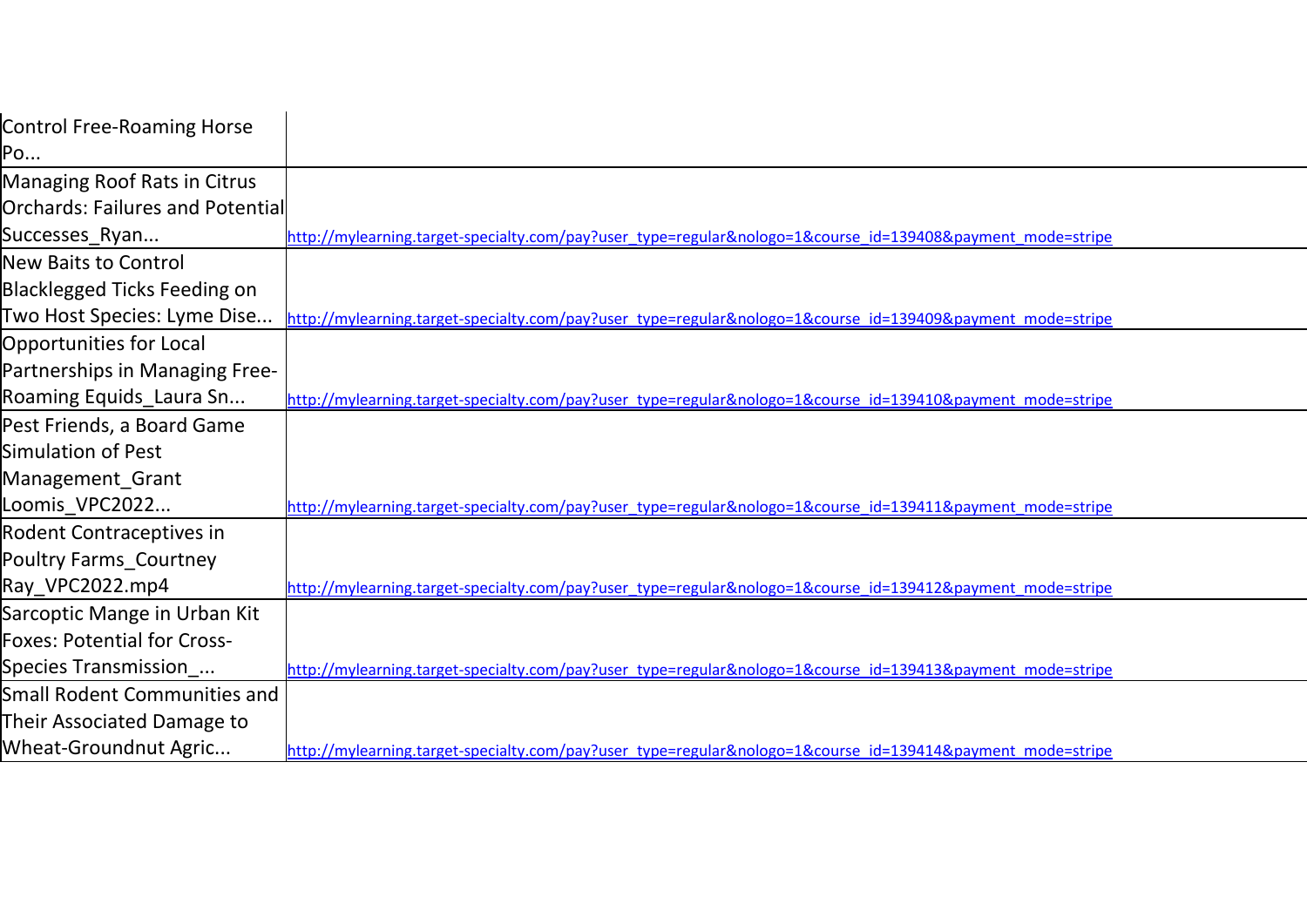| <b>Control Free-Roaming Horse</b>       |                                                                                                            |
|-----------------------------------------|------------------------------------------------------------------------------------------------------------|
| Po                                      |                                                                                                            |
| <b>Managing Roof Rats in Citrus</b>     |                                                                                                            |
| <b>Orchards: Failures and Potential</b> |                                                                                                            |
| Successes_Ryan                          | http://mylearning.target-specialty.com/pay?user_type=regular&nologo=1&course_id=139408&payment_mode=stripe |
| <b>New Baits to Control</b>             |                                                                                                            |
| <b>Blacklegged Ticks Feeding on</b>     |                                                                                                            |
| Two Host Species: Lyme Dise             | http://mylearning.target-specialty.com/pay?user_type=regular&nologo=1&course_id=139409&payment_mode=stripe |
| Opportunities for Local                 |                                                                                                            |
| Partnerships in Managing Free-          |                                                                                                            |
| Roaming Equids_Laura Sn                 | http://mylearning.target-specialty.com/pay?user_type=regular&nologo=1&course_id=139410&payment_mode=stripe |
| Pest Friends, a Board Game              |                                                                                                            |
| Simulation of Pest                      |                                                                                                            |
| Management_Grant                        |                                                                                                            |
| Loomis_VPC2022                          | http://mylearning.target-specialty.com/pay?user_type=regular&nologo=1&course_id=139411&payment_mode=stripe |
| Rodent Contraceptives in                |                                                                                                            |
| <b>Poultry Farms_Courtney</b>           |                                                                                                            |
| Ray_VPC2022.mp4                         | http://mylearning.target-specialty.com/pay?user_type=regular&nologo=1&course_id=139412&payment_mode=stripe |
| Sarcoptic Mange in Urban Kit            |                                                                                                            |
| <b>Foxes: Potential for Cross-</b>      |                                                                                                            |
| Species Transmission_                   | http://mylearning.target-specialty.com/pay?user_type=regular&nologo=1&course_id=139413&payment_mode=stripe |
| <b>Small Rodent Communities and</b>     |                                                                                                            |
| Their Associated Damage to              |                                                                                                            |
| <b>Wheat-Groundnut Agric</b>            | http://mylearning.target-specialty.com/pay?user_type=regular&nologo=1&course_id=139414&payment_mode=stripe |
|                                         |                                                                                                            |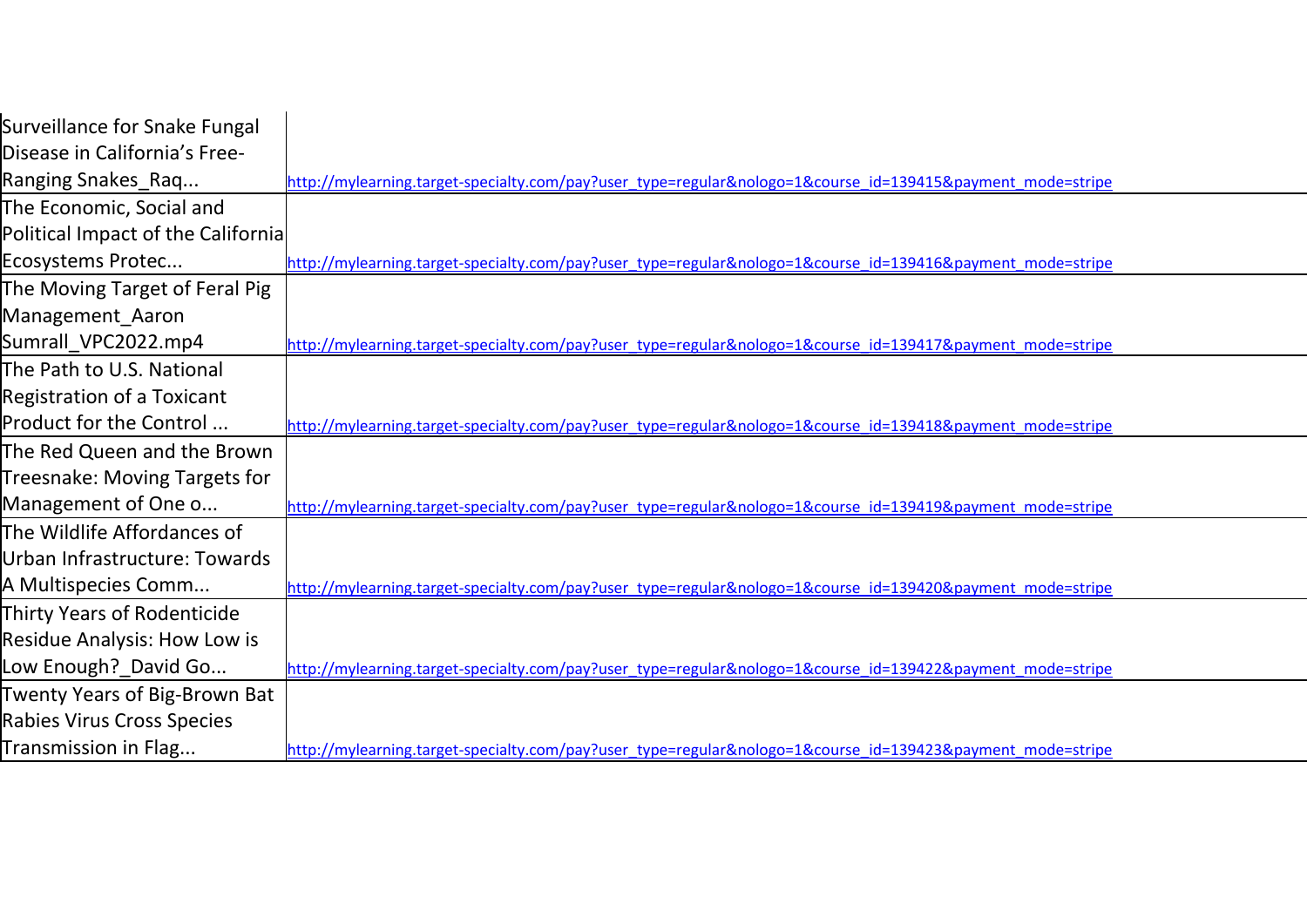| <b>Surveillance for Snake Fungal</b> |                                                                                                            |
|--------------------------------------|------------------------------------------------------------------------------------------------------------|
| Disease in California's Free-        |                                                                                                            |
| Ranging Snakes_Raq                   | http://mylearning.target-specialty.com/pay?user_type=regular&nologo=1&course_id=139415&payment_mode=stripe |
| The Economic, Social and             |                                                                                                            |
| Political Impact of the California   |                                                                                                            |
| Ecosystems Protec                    | http://mylearning.target-specialty.com/pay?user_type=regular&nologo=1&course_id=139416&payment_mode=stripe |
| The Moving Target of Feral Pig       |                                                                                                            |
| Management Aaron                     |                                                                                                            |
| Sumrall_VPC2022.mp4                  | http://mylearning.target-specialty.com/pay?user_type=regular&nologo=1&course_id=139417&payment_mode=stripe |
| The Path to U.S. National            |                                                                                                            |
| <b>Registration of a Toxicant</b>    |                                                                                                            |
| Product for the Control              | http://mylearning.target-specialty.com/pay?user_type=regular&nologo=1&course_id=139418&payment_mode=stripe |
| The Red Queen and the Brown          |                                                                                                            |
| Treesnake: Moving Targets for        |                                                                                                            |
| Management of One o                  | http://mylearning.target-specialty.com/pay?user_type=regular&nologo=1&course_id=139419&payment_mode=stripe |
| The Wildlife Affordances of          |                                                                                                            |
| Urban Infrastructure: Towards        |                                                                                                            |
| A Multispecies Comm                  | http://mylearning.target-specialty.com/pay?user_type=regular&nologo=1&course_id=139420&payment_mode=stripe |
| <b>Thirty Years of Rodenticide</b>   |                                                                                                            |
| Residue Analysis: How Low is         |                                                                                                            |
| Low Enough? David Go                 | http://mylearning.target-specialty.com/pay?user_type=regular&nologo=1&course_id=139422&payment_mode=stripe |
| Twenty Years of Big-Brown Bat        |                                                                                                            |
| <b>Rabies Virus Cross Species</b>    |                                                                                                            |
| Transmission in Flag                 | http://mylearning.target-specialty.com/pay?user_type=regular&nologo=1&course_id=139423&payment_mode=stripe |
|                                      |                                                                                                            |